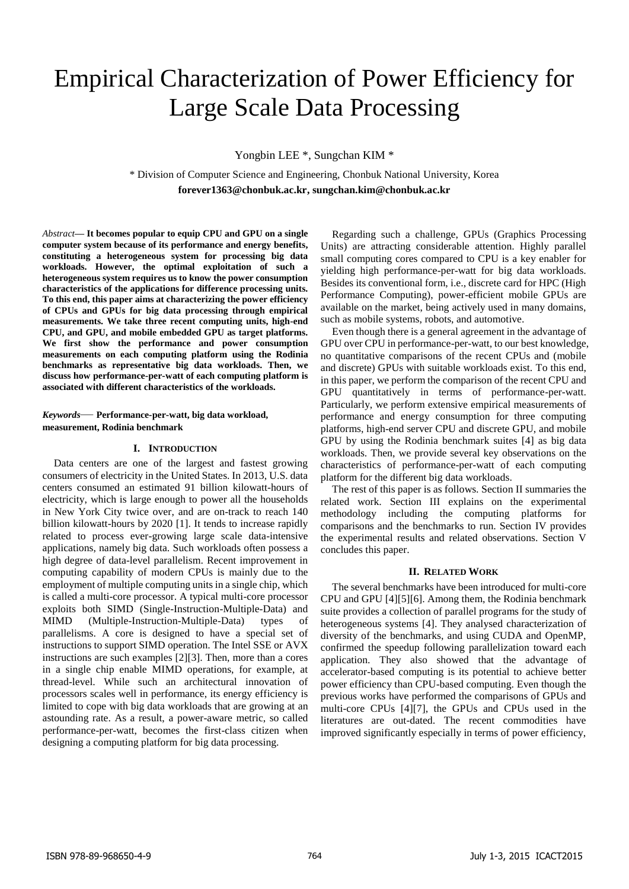# Empirical Characterization of Power Efficiency for Large Scale Data Processing

Yongbin LEE \*, Sungchan KIM \*

\* Division of Computer Science and Engineering, Chonbuk National University, Korea **forever1363@chonbuk.ac.kr, sungchan.kim@chonbuk.ac.kr** 

*Abstract***— It becomes popular to equip CPU and GPU on a single computer system because of its performance and energy benefits, constituting a heterogeneous system for processing big data workloads. However, the optimal exploitation of such a heterogeneous system requires us to know the power consumption characteristics of the applications for difference processing units. To this end, this paper aims at characterizing the power efficiency of CPUs and GPUs for big data processing through empirical measurements. We take three recent computing units, high-end CPU, and GPU, and mobile embedded GPU as target platforms. We first show the performance and power consumption measurements on each computing platform using the Rodinia benchmarks as representative big data workloads. Then, we discuss how performance-per-watt of each computing platform is associated with different characteristics of the workloads.**

# *Keywords*— **Performance-per-watt, big data workload, measurement, Rodinia benchmark**

## **I. INTRODUCTION**

Data centers are one of the largest and fastest growing consumers of electricity in the United States. In 2013, U.S. data centers consumed an estimated 91 billion kilowatt-hours of electricity, which is large enough to power all the households in New York City twice over, and are on-track to reach 140 billion kilowatt-hours by 2020 [\[1\].](#page-3-0) It tends to increase rapidly related to process ever-growing large scale data-intensive applications, namely big data. Such workloads often possess a high degree of data-level parallelism. Recent improvement in computing capability of modern CPUs is mainly due to the employment of multiple computing units in a single chip, which is called a multi-core processor. A typical multi-core processor exploits both SIMD (Single-Instruction-Multiple-Data) and MIMD (Multiple-Instruction-Multiple-Data) types of parallelisms. A core is designed to have a special set of instructions to support SIMD operation. The Intel SSE or AVX instructions are such examples [\[2\]\[3\].](#page-3-1) Then, more than a cores in a single chip enable MIMD operations, for example, at thread-level. While such an architectural innovation of processors scales well in performance, its energy efficiency is limited to cope with big data workloads that are growing at an astounding rate. As a result, a power-aware metric, so called performance-per-watt, becomes the first-class citizen when designing a computing platform for big data processing.

Regarding such a challenge, GPUs (Graphics Processing Units) are attracting considerable attention. Highly parallel small computing cores compared to CPU is a key enabler for yielding high performance-per-watt for big data workloads. Besides its conventional form, i.e., discrete card for HPC (High Performance Computing), power-efficient mobile GPUs are available on the market, being actively used in many domains, such as mobile systems, robots, and automotive.

Even though there is a general agreement in the advantage of GPU over CPU in performance-per-watt, to our best knowledge, no quantitative comparisons of the recent CPUs and (mobile and discrete) GPUs with suitable workloads exist. To this end, in this paper, we perform the comparison of the recent CPU and GPU quantitatively in terms of performance-per-watt. Particularly, we perform extensive empirical measurements of performance and energy consumption for three computing platforms, high-end server CPU and discrete GPU, and mobile GPU by using the Rodinia benchmark suites [\[4\]](#page-3-2) as big data workloads. Then, we provide several key observations on the characteristics of performance-per-watt of each computing platform for the different big data workloads.

The rest of this paper is as follows. Section [II](#page-0-0) summaries the related work. Section [III](#page-1-0) explains on the experimental methodology including the computing platforms for comparisons and the benchmarks to run. Section [IV](#page-1-1) provides the experimental results and related observations. Section [V](#page-2-0) concludes this paper.

#### **II. RELATED WORK**

<span id="page-0-0"></span>The several benchmarks have been introduced for multi-core CPU and GP[U \[4\]\[5\]](#page-3-2)[\[6\].](#page-3-3) Among them, the Rodinia benchmark suite provides a collection of parallel programs for the study of heterogeneous systems [\[4\].](#page-3-2) They analysed characterization of diversity of the benchmarks, and using CUDA and OpenMP, confirmed the speedup following parallelization toward each application. They also showed that the advantage of accelerator-based computing is its potential to achieve better power efficiency than CPU-based computing. Even though the previous works have performed the comparisons of GPUs and multi-core CPUs [\[4\]\[7\],](#page-3-2) the GPUs and CPUs used in the literatures are out-dated. The recent commodities have improved significantly especially in terms of power efficiency,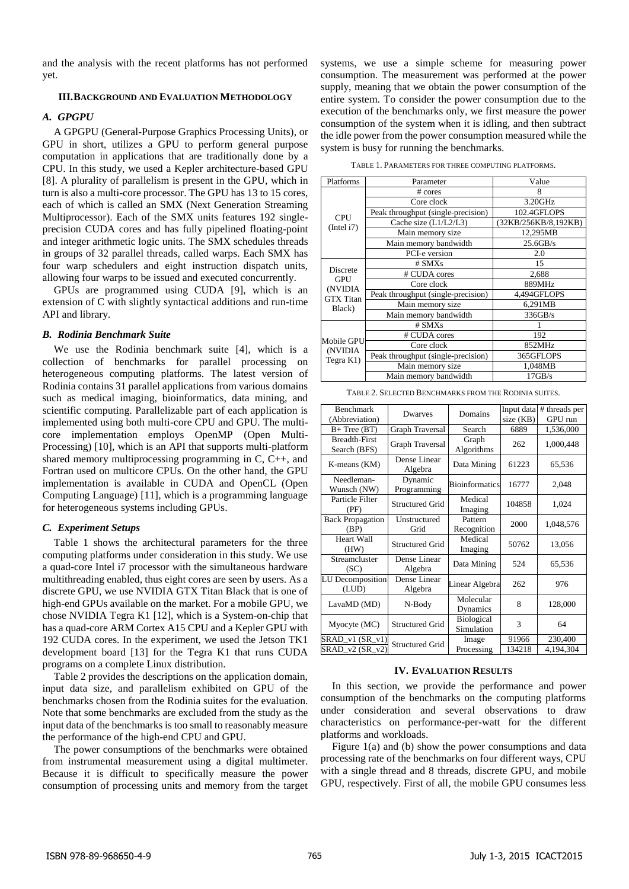and the analysis with the recent platforms has not performed yet.

# <span id="page-1-0"></span>**III.BACKGROUND AND EVALUATION METHODOLOGY**

## *A. GPGPU*

A GPGPU (General-Purpose Graphics Processing Units), or GPU in short, utilizes a GPU to perform general purpose computation in applications that are traditionally done by a CPU. In this study, we used a Kepler architecture-based GPU [\[8\].](#page-3-4) A plurality of parallelism is present in the GPU, which in turn is also a multi-core processor. The GPU has 13 to 15 cores, each of which is called an SMX (Next Generation Streaming Multiprocessor). Each of the SMX units features 192 singleprecision CUDA cores and has fully pipelined floating-point and integer arithmetic logic units. The SMX schedules threads in groups of 32 parallel threads, called warps. Each SMX has four warp schedulers and eight instruction dispatch units, allowing four warps to be issued and executed concurrently.

GPUs are programmed using CUDA [\[9\],](#page-3-5) which is an extension of C with slightly syntactical additions and run-time API and library.

## *B. Rodinia Benchmark Suite*

We use the Rodinia benchmark suite [\[4\],](#page-3-2) which is a collection of benchmarks for parallel processing on heterogeneous computing platforms. The latest version of Rodinia contains 31 parallel applications from various domains such as medical imaging, bioinformatics, data mining, and scientific computing. Parallelizable part of each application is implemented using both multi-core CPU and GPU. The multicore implementation employs OpenMP (Open Multi-Processing) [\[10\],](#page-3-6) which is an API that supports multi-platform shared memory multiprocessing programming in C, C++, and Fortran used on multicore CPUs. On the other hand, the GPU implementation is available in CUDA and OpenCL (Open Computing Language) [\[11\],](#page-3-7) which is a programming language for heterogeneous systems including GPUs.

## *C. Experiment Setups*

[Table 1](#page-1-2) shows the architectural parameters for the three computing platforms under consideration in this study. We use a quad-core Intel i7 processor with the simultaneous hardware multithreading enabled, thus eight cores are seen by users. As a discrete GPU, we use NVIDIA GTX Titan Black that is one of high-end GPUs available on the market. For a mobile GPU, we chose NVIDIA Tegra K1 [\[12\],](#page-3-8) which is a System-on-chip that has a quad-core ARM Cortex A15 CPU and a Kepler GPU with 192 CUDA cores. In the experiment, we used the Jetson TK1 development board [\[13\]](#page-3-9) for the Tegra K1 that runs CUDA programs on a complete Linux distribution.

[Table 2](#page-1-3) provides the descriptions on the application domain, input data size, and parallelism exhibited on GPU of the benchmarks chosen from the Rodinia suites for the evaluation. Note that some benchmarks are excluded from the study as the input data of the benchmarks is too small to reasonably measure the performance of the high-end CPU and GPU.

The power consumptions of the benchmarks were obtained from instrumental measurement using a digital multimeter. Because it is difficult to specifically measure the power consumption of processing units and memory from the target

systems, we use a simple scheme for measuring power consumption. The measurement was performed at the power supply, meaning that we obtain the power consumption of the entire system. To consider the power consumption due to the execution of the benchmarks only, we first measure the power consumption of the system when it is idling, and then subtract the idle power from the power consumption measured while the system is busy for running the benchmarks.

|  |  | TABLE 1. PARAMETERS FOR THREE COMPUTING PLATFORMS. |
|--|--|----------------------------------------------------|
|--|--|----------------------------------------------------|

<span id="page-1-2"></span>

| Platforms                                                              | Parameter                          | Value                |  |
|------------------------------------------------------------------------|------------------------------------|----------------------|--|
| <b>CPU</b><br>(Intel i7)                                               | $# \; \text{cores}$                | 8                    |  |
|                                                                        | Core clock                         | 3.20GHz              |  |
|                                                                        | Peak throughput (single-precision) | 102.4GFLOPS          |  |
|                                                                        | Cache size $(L1/L2/L3)$            | (32KB/256KB/8,192KB) |  |
|                                                                        | Main memory size                   | 12,295MB             |  |
|                                                                        | Main memory bandwidth              | 25.6GB/s             |  |
|                                                                        | PCI-e version                      | 2.0                  |  |
| <b>Discrete</b><br><b>GPU</b><br>(NVIDIA<br><b>GTX</b> Titan<br>Black) | # <b>S</b> MXs                     | 15                   |  |
|                                                                        | # CUDA cores                       | 2,688                |  |
|                                                                        | Core clock                         | 889MHz               |  |
|                                                                        | Peak throughput (single-precision) | 4,494GFLOPS          |  |
|                                                                        | Main memory size                   | 6.291MB              |  |
|                                                                        | Main memory bandwidth              | 336GB/s              |  |
|                                                                        | $#$ SMXs                           |                      |  |
| Mobile GPU                                                             | # CUDA cores                       | 192                  |  |
| (NVIDIA                                                                | Core clock                         | 852MHz               |  |
| Tegra K1)                                                              | Peak throughput (single-precision) | 365GFLOPS            |  |
|                                                                        | Main memory size                   | 1,048MB              |  |
|                                                                        | Main memory bandwidth              | 17GB/s               |  |

TABLE 2. SELECTED BENCHMARKS FROM THE RODINIA SUITES.

<span id="page-1-3"></span>

| <b>Benchmark</b><br>(Abbreviation)   | Dwarves                 | Domains                         | Input data<br>size (KB) | # threads per<br>GPU run |
|--------------------------------------|-------------------------|---------------------------------|-------------------------|--------------------------|
| $B+Tree(BT)$                         | Graph Traversal         | Search                          | 6889                    | 1,536,000                |
| <b>Breadth-First</b><br>Search (BFS) | Graph Traversal         | Graph<br>Algorithms             | 262                     | 1,000,448                |
| K-means (KM)                         | Dense Linear<br>Algebra | Data Mining                     | 61223                   | 65,536                   |
| Needleman-<br>Wunsch (NW)            | Dynamic<br>Programming  | <b>Bioinformatics</b>           | 16777                   | 2,048                    |
| Particle Filter<br>(PF)              | <b>Structured Grid</b>  | Medical<br>Imaging              | 104858                  | 1,024                    |
| <b>Back Propagation</b><br>(BP)      | Unstructured<br>Grid    | Pattern<br>Recognition          | 2000                    | 1,048,576                |
| <b>Heart Wall</b><br>(HW)            | <b>Structured Grid</b>  | Medical<br>Imaging              | 50762                   | 13,056                   |
| Streamcluster<br>(SC)                | Dense Linear<br>Algebra | Data Mining                     | 524                     | 65,536                   |
| LU Decomposition<br>(LUD)            | Dense Linear<br>Algebra | Linear Algebra                  | 262                     | 976                      |
| LavaMD (MD)                          | N-Body                  | Molecular<br>Dynamics           | 8                       | 128,000                  |
| Myocyte (MC)                         | <b>Structured Grid</b>  | <b>Biological</b><br>Simulation | 3                       | 64                       |
| $SRAD_v1(SR_v1)$                     | <b>Structured Grid</b>  | Image                           | 91966                   | 230,400                  |
| $SRAD_v2(SR_v2)$                     |                         | Processing                      | 134218                  | 4,194,304                |

#### **IV. EVALUATION RESULTS**

<span id="page-1-1"></span>In this section, we provide the performance and power consumption of the benchmarks on the computing platforms under consideration and several observations to draw characteristics on performance-per-watt for the different platforms and workloads.

[Figure 1\(](#page-2-1)a) and (b) show the power consumptions and data processing rate of the benchmarks on four different ways, CPU with a single thread and 8 threads, discrete GPU, and mobile GPU, respectively. First of all, the mobile GPU consumes less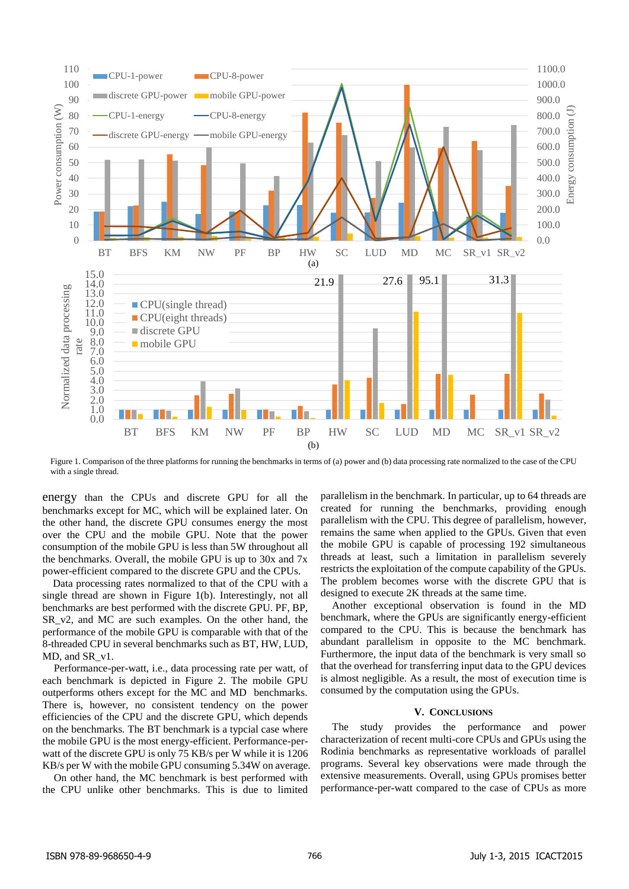

<span id="page-2-1"></span>Figure 1. Comparison of the three platforms for running the benchmarks in terms of (a) power and (b) data processing rate normalized to the case of the CPU with a single thread.

energy than the CPUs and discrete GPU for all the benchmarks except for MC, which will be explained later. On the other hand, the discrete GPU consumes energy the most over the CPU and the mobile GPU. Note that the power consumption of the mobile GPU is less than 5W throughout all the benchmarks. Overall, the mobile GPU is up to 30x and 7x power-efficient compared to the discrete GPU and the CPUs.

Data processing rates normalized to that of the CPU with a single thread are shown in [Figure 1\(](#page-2-1)b). Interestingly, not all benchmarks are best performed with the discrete GPU. PF, BP, SR v2, and MC are such examples. On the other hand, the performance of the mobile GPU is comparable with that of the 8-threaded CPU in several benchmarks such as BT, HW, LUD, MD, and SR\_v1.

Performance-per-watt, i.e., data processing rate per watt, of each benchmark is depicted in [Figure 2.](#page-3-10) The mobile GPU outperforms others except for the MC and MD benchmarks. There is, however, no consistent tendency on the power efficiencies of the CPU and the discrete GPU, which depends on the benchmarks. The BT benchmark is a typcial case where the mobile GPU is the most energy-efficient. Performance-perwatt of the discrete GPU is only 75 KB/s per W while it is 1206 KB/s per W with the mobile GPU consuming 5.34W on average.

On other hand, the MC benchmark is best performed with the CPU unlike other benchmarks. This is due to limited parallelism in the benchmark. In particular, up to 64 threads are created for running the benchmarks, providing enough parallelism with the CPU. This degree of parallelism, however, remains the same when applied to the GPUs. Given that even the mobile GPU is capable of processing 192 simultaneous threads at least, such a limitation in parallelism severely restricts the exploitation of the compute capability of the GPUs. The problem becomes worse with the discrete GPU that is designed to execute 2K threads at the same time.

Another exceptional observation is found in the MD benchmark, where the GPUs are significantly energy-efficient compared to the CPU. This is because the benchmark has abundant parallelism in opposite to the MC benchmark. Furthermore, the input data of the benchmark is very small so that the overhead for transferring input data to the GPU devices is almost negligible. As a result, the most of execution time is consumed by the computation using the GPUs.

#### **V. CONCLUSIONS**

<span id="page-2-0"></span>The study provides the performance and power characterization of recent multi-core CPUs and GPUs using the Rodinia benchmarks as representative workloads of parallel programs. Several key observations were made through the extensive measurements. Overall, using GPUs promises better performance-per-watt compared to the case of CPUs as more